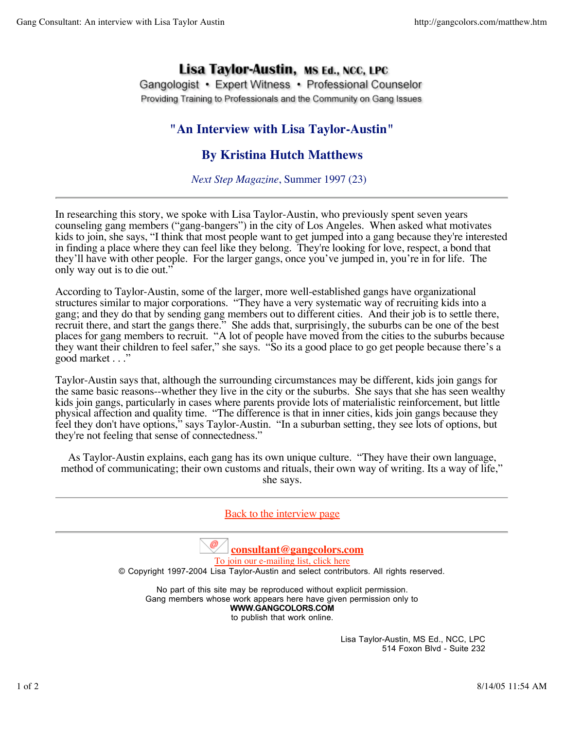## Lisa Taylor-Austin, MS Ed., NCC, LPC

Gangologist • Expert Witness • Professional Counselor Providing Training to Professionals and the Community on Gang Issues

## **"An Interview with Lisa Taylor-Austin"**

## **By Kristina Hutch Matthews**

*Next Step Magazine*, Summer 1997 (23)

In researching this story, we spoke with Lisa Taylor-Austin, who previously spent seven years counseling gang members ("gang-bangers") in the city of Los Angeles. When asked what motivates kids to join, she says, "I think that most people want to get jumped into a gang because they're interested in finding a place where they can feel like they belong. They're looking for love, respect, a bond that they'll have with other people. For the larger gangs, once you've jumped in, you're in for life. The only way out is to die out."

According to Taylor-Austin, some of the larger, more well-established gangs have organizational structures similar to major corporations. "They have a very systematic way of recruiting kids into a gang; and they do that by sending gang members out to different cities. And their job is to settle there, recruit there, and start the gangs there." She adds that, surprisingly, the suburbs can be one of the best places for gang members to recruit. "A lot of people have moved from the cities to the suburbs because they want their children to feel safer," she says. "So its a good place to go get people because there's a good market . . ."

Taylor-Austin says that, although the surrounding circumstances may be different, kids join gangs for the same basic reasons--whether they live in the city or the suburbs. She says that she has seen wealthy kids join gangs, particularly in cases where parents provide lots of materialistic reinforcement, but little physical affection and quality time. "The difference is that in inner cities, kids join gangs because they feel they don't have options," says Taylor-Austin. "In a suburban setting, they see lots of options, but they're not feeling that sense of connectedness."

As Taylor-Austin explains, each gang has its own unique culture. "They have their own language, method of communicating; their own customs and rituals, their own way of writing. Its a way of life," she says.

Back to the interview page **consultant@gangcolors.com** To join our e-mailing list, click here © Copyright 1997-2004 Lisa Taylor-Austin and select contributors. All rights reserved. No part of this site may be reproduced without explicit permission. Gang members whose work appears here have given permission only to **WWW.GANGCOLORS.COM** to publish that work online. Lisa Taylor-Austin, MS Ed., NCC, LPC 514 Foxon Blvd - Suite 232